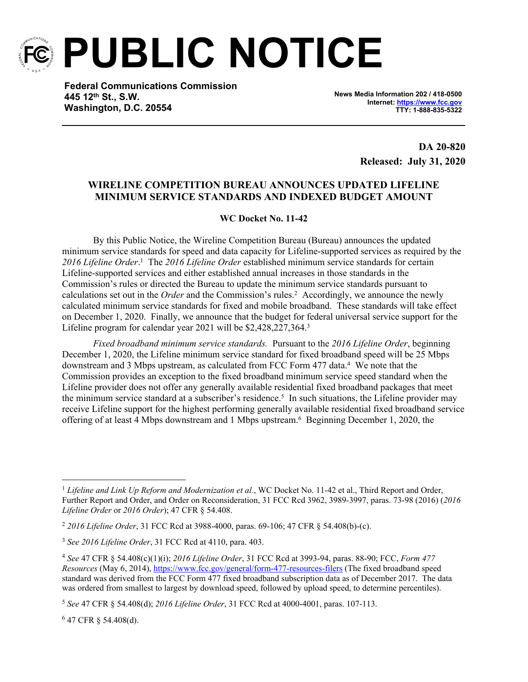

**PUBLIC NOTICE**

**Federal Communications Commission 445 12th St., S.W. Washington, D.C. 20554**

**News Media Information 202 / 418-0500 Internet:<https://www.fcc.gov> TTY: 1-888-835-5322**

> **DA 20-820 Released: July 31, 2020**

## **WIRELINE COMPETITION BUREAU ANNOUNCES UPDATED LIFELINE MINIMUM SERVICE STANDARDS AND INDEXED BUDGET AMOUNT**

## **WC Docket No. 11-42**

By this Public Notice, the Wireline Competition Bureau (Bureau) announces the updated minimum service standards for speed and data capacity for Lifeline-supported services as required by the 2016 Lifeline Order.<sup>1</sup> The 2016 Lifeline Order established minimum service standards for certain Lifeline-supported services and either established annual increases in those standards in the Commission's rules or directed the Bureau to update the minimum service standards pursuant to calculations set out in the *Order* and the Commission's rules.<sup>2</sup> Accordingly, we announce the newly calculated minimum service standards for fixed and mobile broadband. These standards will take effect on December 1, 2020. Finally, we announce that the budget for federal universal service support for the Lifeline program for calendar year 2021 will be \$2,428,227,364.<sup>3</sup>

*Fixed broadband minimum service standards.* Pursuant to the *2016 Lifeline Order*, beginning December 1, 2020, the Lifeline minimum service standard for fixed broadband speed will be 25 Mbps downstream and 3 Mbps upstream, as calculated from FCC Form 477 data.<sup>4</sup> We note that the Commission provides an exception to the fixed broadband minimum service speed standard when the Lifeline provider does not offer any generally available residential fixed broadband packages that meet the minimum service standard at a subscriber's residence.<sup>5</sup> In such situations, the Lifeline provider may receive Lifeline support for the highest performing generally available residential fixed broadband service offering of at least 4 Mbps downstream and 1 Mbps upstream.<sup>6</sup> Beginning December 1, 2020, the

6 47 CFR § 54.408(d).

<sup>1</sup> *Lifeline and Link Up Reform and Modernization et al.*, WC Docket No. 11-42 et al., Third Report and Order, Further Report and Order, and Order on Reconsideration, 31 FCC Rcd 3962, 3989-3997, paras. 73-98 (2016) (*2016 Lifeline Order* or *2016 Order*); 47 CFR § 54.408.

<sup>2</sup> *2016 Lifeline Order*, 31 FCC Rcd at 3988-4000, paras. 69-106; 47 CFR § 54.408(b)-(c).

<sup>3</sup> *See 2016 Lifeline Order*, 31 FCC Rcd at 4110, para. 403.

<sup>4</sup> *See* 47 CFR § 54.408(c)(1)(i); *2016 Lifeline Order*, 31 FCC Rcd at 3993-94, paras. 88-90; FCC, *Form 477 Resources* (May 6, 2014),<https://www.fcc.gov/general/form-477-resources-filers> (The fixed broadband speed standard was derived from the FCC Form 477 fixed broadband subscription data as of December 2017. The data was ordered from smallest to largest by download speed, followed by upload speed, to determine percentiles).

<sup>5</sup> *See* 47 CFR § 54.408(d); *2016 Lifeline Order*, 31 FCC Rcd at 4000-4001, paras. 107-113.